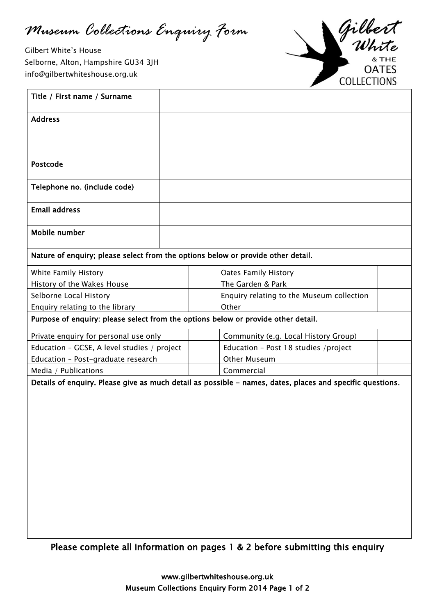*Museum Collections Enquiry Form*

 $\overline{a}$ 

Gilbert White's House Selborne, Alton, Hampshire GU34 3JH [info@gilbertwhiteshouse.org.uk](mailto:info@gilbertwhiteshouse.org.uk)



| Title / First name / Surname                                                      |  |  |                                                                                                           |  |  |  |
|-----------------------------------------------------------------------------------|--|--|-----------------------------------------------------------------------------------------------------------|--|--|--|
| <b>Address</b>                                                                    |  |  |                                                                                                           |  |  |  |
|                                                                                   |  |  |                                                                                                           |  |  |  |
|                                                                                   |  |  |                                                                                                           |  |  |  |
| Postcode                                                                          |  |  |                                                                                                           |  |  |  |
| Telephone no. (include code)                                                      |  |  |                                                                                                           |  |  |  |
| <b>Email address</b>                                                              |  |  |                                                                                                           |  |  |  |
| Mobile number                                                                     |  |  |                                                                                                           |  |  |  |
| Nature of enquiry; please select from the options below or provide other detail.  |  |  |                                                                                                           |  |  |  |
| White Family History                                                              |  |  | <b>Oates Family History</b>                                                                               |  |  |  |
| History of the Wakes House                                                        |  |  | The Garden & Park                                                                                         |  |  |  |
| Selborne Local History                                                            |  |  | Enquiry relating to the Museum collection                                                                 |  |  |  |
| Enquiry relating to the library                                                   |  |  | Other                                                                                                     |  |  |  |
| Purpose of enquiry: please select from the options below or provide other detail. |  |  |                                                                                                           |  |  |  |
| Private enquiry for personal use only                                             |  |  | Community (e.g. Local History Group)                                                                      |  |  |  |
| Education - GCSE, A level studies / project                                       |  |  | Education - Post 18 studies / project                                                                     |  |  |  |
| Education - Post-graduate research                                                |  |  | <b>Other Museum</b>                                                                                       |  |  |  |
| Media / Publications                                                              |  |  | Commercial                                                                                                |  |  |  |
|                                                                                   |  |  | Details of enquiry. Please give as much detail as possible - names, dates, places and specific questions. |  |  |  |
|                                                                                   |  |  |                                                                                                           |  |  |  |

Please complete all information on pages 1 & 2 before submitting this enquiry